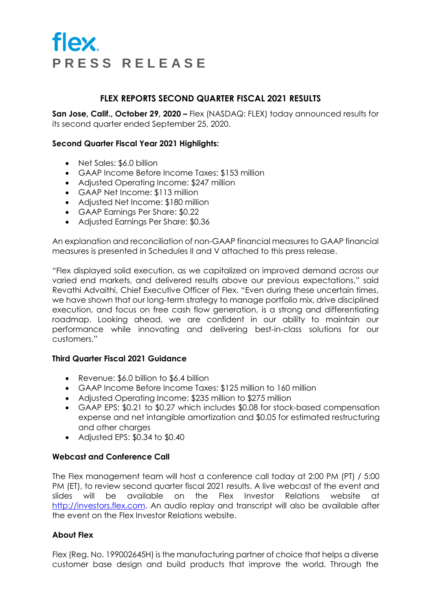## **FLEX REPORTS SECOND QUARTER FISCAL 2021 RESULTS**

**San Jose, Calif., October 29, 2020 –** Flex (NASDAQ: FLEX) today announced results for its second quarter ended September 25, 2020.

## **Second Quarter Fiscal Year 2021 Highlights:**

- Net Sales: \$6.0 billion
- GAAP Income Before Income Taxes: \$153 million
- Adjusted Operating Income: \$247 million
- GAAP Net Income: \$113 million
- Adjusted Net Income: \$180 million
- GAAP Earnings Per Share: \$0.22
- Adjusted Earnings Per Share: \$0.36

An explanation and reconciliation of non-GAAP financial measures to GAAP financial measures is presented in Schedules II and V attached to this press release.

"Flex displayed solid execution, as we capitalized on improved demand across our varied end markets, and delivered results above our previous expectations," said Revathi Advaithi, Chief Executive Officer of Flex. "Even during these uncertain times, we have shown that our long-term strategy to manage portfolio mix, drive disciplined execution, and focus on free cash flow generation, is a strong and differentiating roadmap. Looking ahead, we are confident in our ability to maintain our performance while innovating and delivering best-in-class solutions for our customers."

## **Third Quarter Fiscal 2021 Guidance**

- Revenue: \$6.0 billion to \$6.4 billion
- GAAP Income Before Income Taxes: \$125 million to 160 million
- Adjusted Operating Income: \$235 million to \$275 million
- GAAP EPS: \$0.21 to \$0.27 which includes \$0.08 for stock-based compensation expense and net intangible amortization and \$0.05 for estimated restructuring and other charges
- Adjusted EPS: \$0.34 to \$0.40

## **Webcast and Conference Call**

The Flex management team will host a conference call today at 2:00 PM (PT) / 5:00 PM (ET), to review second quarter fiscal 2021 results. A live webcast of the event and slides will be available on the Flex Investor Relations website at http://investors.flex.com. An audio replay and transcript will also be available after the event on the Flex Investor Relations website.

## **About Flex**

Flex (Reg. No. 199002645H) is the manufacturing partner of choice that helps a diverse customer base design and build products that improve the world. Through the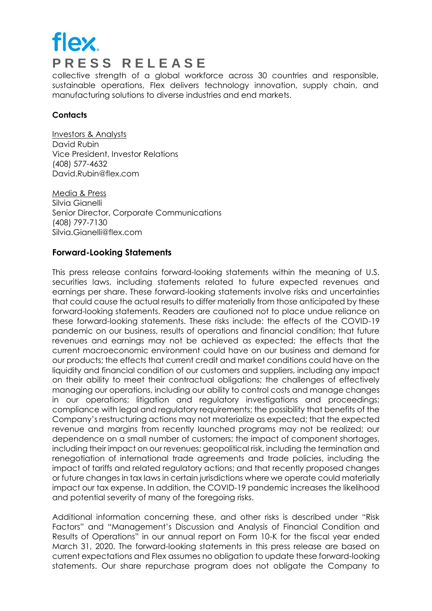collective strength of a global workforce across 30 countries and responsible, sustainable operations, Flex delivers technology innovation, supply chain, and manufacturing solutions to diverse industries and end markets.

## **Contacts**

Investors & Analysts David Rubin Vice President, Investor Relations (408) 577-4632 David.Rubin@flex.com

Media & Press Silvia Gianelli Senior Director, Corporate Communications (408) 797-7130 Silvia.Gianelli@flex.com

## **Forward-Looking Statements**

This press release contains forward-looking statements within the meaning of U.S. securities laws, including statements related to future expected revenues and earnings per share. These forward-looking statements involve risks and uncertainties that could cause the actual results to differ materially from those anticipated by these forward-looking statements. Readers are cautioned not to place undue reliance on these forward-looking statements. These risks include: the effects of the COVID-19 pandemic on our business, results of operations and financial condition; that future revenues and earnings may not be achieved as expected; the effects that the current macroeconomic environment could have on our business and demand for our products; the effects that current credit and market conditions could have on the liquidity and financial condition of our customers and suppliers, including any impact on their ability to meet their contractual obligations; the challenges of effectively managing our operations, including our ability to control costs and manage changes in our operations; litigation and regulatory investigations and proceedings; compliance with legal and regulatory requirements; the possibility that benefits of the Company's restructuring actions may not materialize as expected; that the expected revenue and margins from recently launched programs may not be realized; our dependence on a small number of customers; the impact of component shortages, including their impact on our revenues; geopolitical risk, including the termination and renegotiation of international trade agreements and trade policies, including the impact of tariffs and related regulatory actions; and that recently proposed changes or future changes in tax laws in certain jurisdictions where we operate could materially impact our tax expense. In addition, the COVID-19 pandemic increases the likelihood and potential severity of many of the foregoing risks.

Additional information concerning these, and other risks is described under "Risk Factors" and "Management's Discussion and Analysis of Financial Condition and Results of Operations" in our annual report on Form 10-K for the fiscal year ended March 31, 2020. The forward-looking statements in this press release are based on current expectations and Flex assumes no obligation to update these forward-looking statements. Our share repurchase program does not obligate the Company to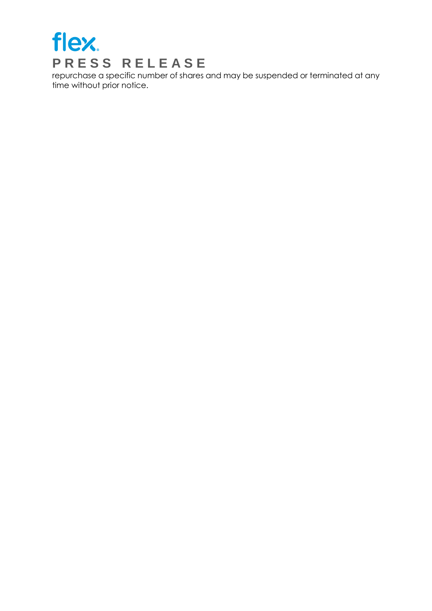

repurchase a specific number of shares and may be suspended or terminated at any time without prior notice.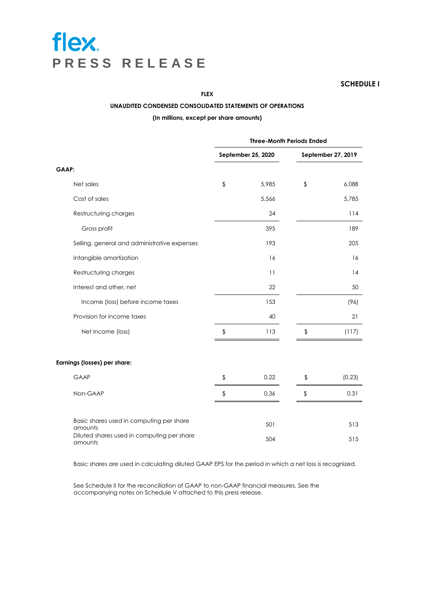**SCHEDULE I**

#### **FLEX**

#### **UNAUDITED CONDENSED CONSOLIDATED STATEMENTS OF OPERATIONS**

#### **(In millions, except per share amounts)**

|                                                       | <b>Three-Month Periods Ended</b> |                    |                |                    |
|-------------------------------------------------------|----------------------------------|--------------------|----------------|--------------------|
|                                                       |                                  | September 25, 2020 |                | September 27, 2019 |
| GAAP:                                                 |                                  |                    |                |                    |
| Net sales                                             | $\updownarrow$                   | 5,985              | \$             | 6,088              |
| Cost of sales                                         |                                  | 5,566              |                | 5,785              |
| Restructuring charges                                 |                                  | 24                 |                | 114                |
| Gross profit                                          |                                  | 395                |                | 189                |
| Selling, general and administrative expenses          |                                  | 193                |                | 205                |
| Intangible amortization                               |                                  | 16                 |                | 16                 |
| Restructuring charges                                 |                                  | 11                 |                | 14                 |
| Interest and other, net                               |                                  | 22                 |                | 50                 |
| Income (loss) before income taxes                     |                                  | 153                |                | (96)               |
| Provision for income taxes                            |                                  | 40                 |                | 21                 |
| Net income (loss)                                     | \$                               | 113                | \$             | (117)              |
| Earnings (losses) per share:                          |                                  |                    |                |                    |
| <b>GAAP</b>                                           | $\updownarrow$                   | 0.22               | $\updownarrow$ | (0.23)             |
| Non-GAAP                                              | \$                               | 0.36               | \$             | 0.31               |
| Basic shares used in computing per share<br>amounts   |                                  | 501                |                | 513                |
| Diluted shares used in computing per share<br>amounts |                                  | 504                |                | 515                |

Basic shares are used in calculating diluted GAAP EPS for the period in which a net loss is recognized.

See Schedule II for the reconciliation of GAAP to non-GAAP financial measures. See the accompanying notes on Schedule V attached to this press release.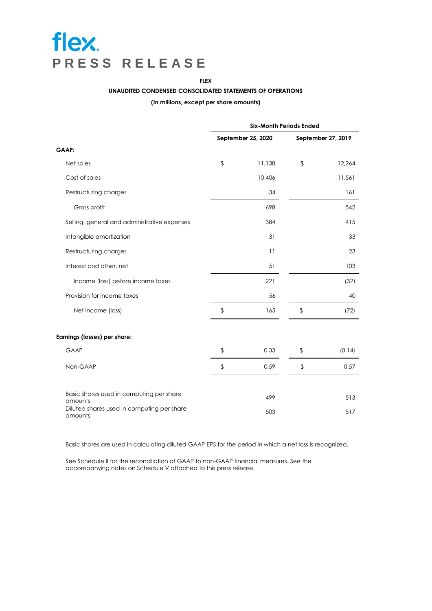**FLEX**

#### **UNAUDITED CONDENSED CONSOLIDATED STATEMENTS OF OPERATIONS**

#### **(In millions, except per share amounts)**

|                                                       | <b>Six-Month Periods Ended</b> |        |                    |        |
|-------------------------------------------------------|--------------------------------|--------|--------------------|--------|
|                                                       | September 25, 2020             |        | September 27, 2019 |        |
| <b>GAAP:</b>                                          |                                |        |                    |        |
| Net sales                                             | \$                             | 11,138 | $\updownarrow$     | 12,264 |
| Cost of sales                                         |                                | 10,406 |                    | 11,561 |
| Restructuring charges                                 |                                | 34     |                    | 161    |
| Gross profit                                          |                                | 698    |                    | 542    |
| Selling, general and administrative expenses          |                                | 384    |                    | 415    |
| Intangible amortization                               |                                | 31     |                    | 33     |
| Restructuring charges                                 |                                | 11     |                    | 23     |
| Interest and other, net                               |                                | 51     |                    | 103    |
| Income (loss) before income taxes                     |                                | 221    |                    | (32)   |
| Provision for income taxes                            |                                | 56     |                    | 40     |
| Net income (loss)                                     | \$                             | 165    | \$                 | (72)   |
| Earnings (losses) per share:                          |                                |        |                    |        |
| GAAP                                                  | \$                             | 0.33   | \$                 | (0.14) |
| Non-GAAP                                              | \$                             | 0.59   | $\updownarrow$     | 0.57   |
| Basic shares used in computing per share<br>amounts   |                                | 499    |                    | 513    |
| Diluted shares used in computing per share<br>amounts |                                | 503    |                    | 517    |

Basic shares are used in calculating diluted GAAP EPS for the period in which a net loss is recognized.

See Schedule II for the reconciliation of GAAP to non-GAAP financial measures. See the accompanying notes on Schedule V attached to this press release.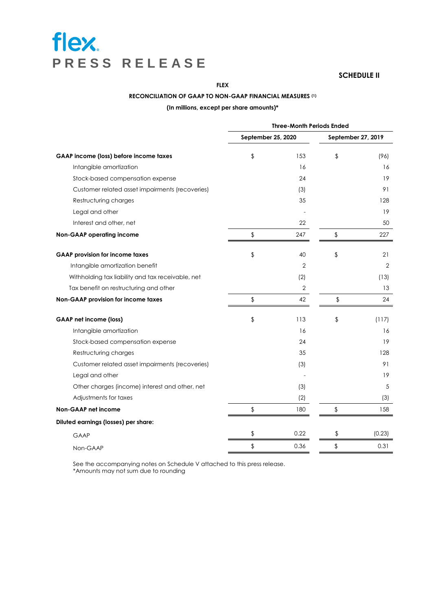#### **SCHEDULE II**

**FLEX**

#### **RECONCILIATION OF GAAP TO NON-GAAP FINANCIAL MEASURES (1)**

**(In millions, except per share amounts)\***

|                                                   | <b>Three-Month Periods Ended</b> |      |                    |        |
|---------------------------------------------------|----------------------------------|------|--------------------|--------|
|                                                   | September 25, 2020               |      | September 27, 2019 |        |
| GAAP income (loss) before income taxes            | \$                               | 153  | \$                 | (96)   |
| Intangible amortization                           |                                  | 16   |                    | 16     |
| Stock-based compensation expense                  |                                  | 24   |                    | 19     |
| Customer related asset impairments (recoveries)   |                                  | (3)  |                    | 91     |
| Restructuring charges                             |                                  | 35   |                    | 128    |
| Legal and other                                   |                                  |      |                    | 19     |
| Interest and other, net                           |                                  | 22   |                    | 50     |
| <b>Non-GAAP operating income</b>                  | \$                               | 247  | \$                 | 227    |
| <b>GAAP provision for income taxes</b>            | \$                               | 40   | \$                 | 21     |
| Intangible amortization benefit                   |                                  | 2    |                    | 2      |
| Withholding tax liability and tax receivable, net |                                  | (2)  |                    | (13)   |
| Tax benefit on restructuring and other            |                                  | 2    |                    | 13     |
| Non-GAAP provision for income taxes               | \$                               | 42   | \$                 | 24     |
| <b>GAAP</b> net income (loss)                     | \$                               | 113  | \$                 | (117)  |
| Intangible amortization                           |                                  | 16   |                    | 16     |
| Stock-based compensation expense                  |                                  | 24   |                    | 19     |
| Restructuring charges                             |                                  | 35   |                    | 128    |
| Customer related asset impairments (recoveries)   |                                  | (3)  |                    | 91     |
| Legal and other                                   |                                  |      |                    | 19     |
| Other charges (income) interest and other, net    |                                  | (3)  |                    | 5      |
| Adjustments for taxes                             |                                  | (2)  |                    | (3)    |
| Non-GAAP net income                               | \$                               | 180  | \$                 | 158    |
| Diluted earnings (losses) per share:              |                                  |      |                    |        |
| <b>GAAP</b>                                       | \$                               | 0.22 | \$                 | (0.23) |
| Non-GAAP                                          | \$                               | 0.36 | \$                 | 0.31   |

See the accompanying notes on Schedule V attached to this press release. \*Amounts may not sum due to rounding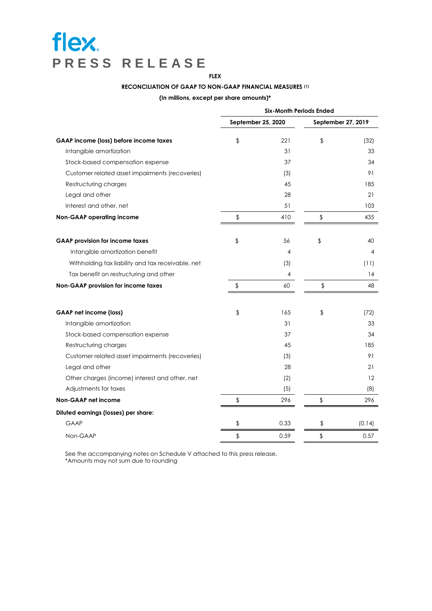## **FLEX RECONCILIATION OF GAAP TO NON-GAAP FINANCIAL MEASURES (1)**

**(In millions, except per share amounts)\***

|                                                   | <b>Six-Month Periods Ended</b> |      |                    |        |
|---------------------------------------------------|--------------------------------|------|--------------------|--------|
|                                                   | September 25, 2020             |      | September 27, 2019 |        |
| GAAP income (loss) before income taxes            | \$                             | 221  | $\frac{1}{2}$      | (32)   |
| Intangible amortization                           |                                | 31   |                    | 33     |
| Stock-based compensation expense                  |                                | 37   |                    | 34     |
| Customer related asset impairments (recoveries)   |                                | (3)  |                    | 91     |
| Restructuring charges                             |                                | 45   |                    | 185    |
| Legal and other                                   |                                | 28   |                    | 21     |
| Interest and other, net                           |                                | 51   |                    | 103    |
| <b>Non-GAAP operating income</b>                  | \$                             | 410  | \$                 | 435    |
| <b>GAAP provision for income taxes</b>            | \$                             | 56   | \$                 | 40     |
| Intangible amortization benefit                   |                                | 4    |                    | 4      |
| Withholding tax liability and tax receivable, net |                                | (3)  |                    | (11)   |
| Tax benefit on restructuring and other            |                                | 4    |                    | 14     |
| Non-GAAP provision for income taxes               | \$                             | 60   | $\updownarrow$     | 48     |
| <b>GAAP net income (loss)</b>                     | \$                             | 165  | \$                 | (72)   |
| Intangible amortization                           |                                | 31   |                    | 33     |
| Stock-based compensation expense                  |                                | 37   |                    | 34     |
| Restructuring charges                             |                                | 45   |                    | 185    |
| Customer related asset impairments (recoveries)   |                                | (3)  |                    | 91     |
| Legal and other                                   |                                | 28   |                    | 21     |
| Other charges (income) interest and other, net    |                                | (2)  |                    | 12     |
| Adjustments for taxes                             |                                | (5)  |                    | (8)    |
| Non-GAAP net income                               | \$                             | 296  | \$                 | 296    |
| Diluted earnings (losses) per share:              |                                |      |                    |        |
| <b>GAAP</b>                                       | \$                             | 0.33 | \$                 | (0.14) |
| Non-GAAP                                          | \$                             | 0.59 | \$                 | 0.57   |

 See the accompanying notes on Schedule V attached to this press release. \*Amounts may not sum due to rounding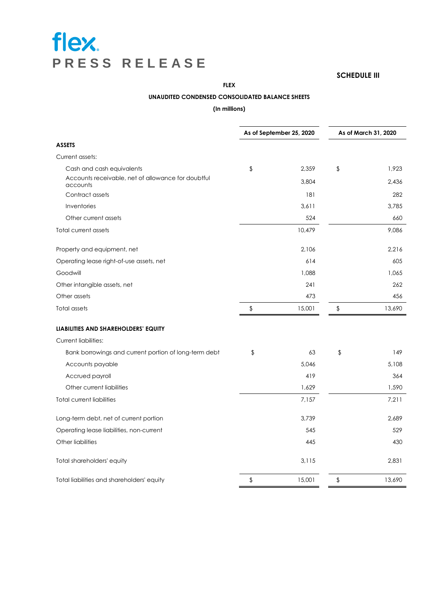#### **SCHEDULE III**

**FLEX**

#### **UNAUDITED CONDENSED CONSOLIDATED BALANCE SHEETS**

#### **(In millions)**

|                                                                | As of September 25, 2020 |        | As of March 31, 2020 |        |
|----------------------------------------------------------------|--------------------------|--------|----------------------|--------|
| <b>ASSETS</b>                                                  |                          |        |                      |        |
| Current assets:                                                |                          |        |                      |        |
| Cash and cash equivalents                                      | \$                       | 2,359  | \$                   | 1,923  |
| Accounts receivable, net of allowance for doubtful<br>accounts |                          | 3,804  |                      | 2.436  |
| Contract assets                                                |                          | 181    |                      | 282    |
| Inventories                                                    |                          | 3,611  |                      | 3.785  |
| Other current assets                                           |                          | 524    |                      | 660    |
| Total current assets                                           |                          | 10,479 |                      | 9,086  |
| Property and equipment, net                                    |                          | 2,106  |                      | 2,216  |
| Operating lease right-of-use assets, net                       |                          | 614    |                      | 605    |
| Goodwill                                                       |                          | 1,088  |                      | 1,065  |
| Other intangible assets, net                                   |                          | 241    |                      | 262    |
| Other assets                                                   |                          | 473    |                      | 456    |
| Total assets                                                   | \$                       | 15,001 | \$                   | 13,690 |
| LIABILITIES AND SHAREHOLDERS' EQUITY                           |                          |        |                      |        |
| <b>Current liabilities:</b>                                    |                          |        |                      |        |
| Bank borrowings and current portion of long-term debt          | \$                       | 63     | \$                   | 149    |
| Accounts payable                                               |                          | 5,046  |                      | 5,108  |
| Accrued payroll                                                |                          | 419    |                      | 364    |
| Other current liabilities                                      |                          | 1,629  |                      | 1,590  |
| <b>Total current liabilities</b>                               |                          | 7,157  |                      | 7,211  |
| Long-term debt, net of current portion                         |                          | 3,739  |                      | 2,689  |
| Operating lease liabilities, non-current                       |                          | 545    |                      | 529    |
| Other liabilities                                              |                          | 445    |                      | 430    |
| Total shareholders' equity                                     |                          | 3,115  |                      | 2,831  |
| Total liabilities and shareholders' equity                     | \$                       | 15,001 | \$                   | 13,690 |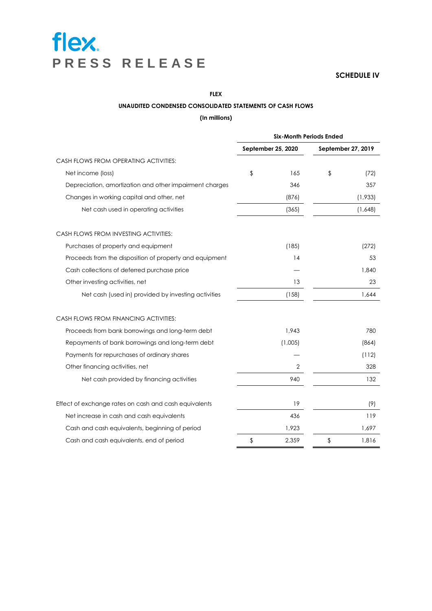**SCHEDULE IV**

**FLEX** 

#### **UNAUDITED CONDENSED CONSOLIDATED STATEMENTS OF CASH FLOWS**

#### **(In millions)**

|                                                         | <b>Six-Month Periods Ended</b> |         |                    |         |
|---------------------------------------------------------|--------------------------------|---------|--------------------|---------|
|                                                         | September 25, 2020             |         | September 27, 2019 |         |
| CASH FLOWS FROM OPERATING ACTIVITIES:                   |                                |         |                    |         |
| Net income (loss)                                       | \$                             | 165     | \$                 | (72)    |
| Depreciation, amortization and other impairment charges |                                | 346     |                    | 357     |
| Changes in working capital and other, net               |                                | (876)   |                    | (1,933) |
| Net cash used in operating activities                   |                                | (365)   |                    | (1,648) |
| CASH FLOWS FROM INVESTING ACTIVITIES:                   |                                |         |                    |         |
| Purchases of property and equipment                     |                                | (185)   |                    | (272)   |
| Proceeds from the disposition of property and equipment |                                | 14      |                    | 53      |
| Cash collections of deferred purchase price             |                                |         |                    | 1,840   |
| Other investing activities, net                         |                                | 13      |                    | 23      |
| Net cash (used in) provided by investing activities     |                                | (158)   |                    | 1,644   |
| CASH FLOWS FROM FINANCING ACTIVITIES:                   |                                |         |                    |         |
| Proceeds from bank borrowings and long-term debt        |                                | 1,943   |                    | 780     |
| Repayments of bank borrowings and long-term debt        |                                | (1,005) |                    | (864)   |
| Payments for repurchases of ordinary shares             |                                |         |                    | (112)   |
| Other financing activities, net                         |                                | 2       |                    | 328     |
| Net cash provided by financing activities               |                                | 940     |                    | 132     |
| Effect of exchange rates on cash and cash equivalents   |                                | 19      |                    | (9)     |
| Net increase in cash and cash equivalents               |                                | 436     |                    | 119     |
| Cash and cash equivalents, beginning of period          |                                | 1,923   |                    | 1,697   |
| Cash and cash equivalents, end of period                | \$                             | 2,359   | \$                 | 1,816   |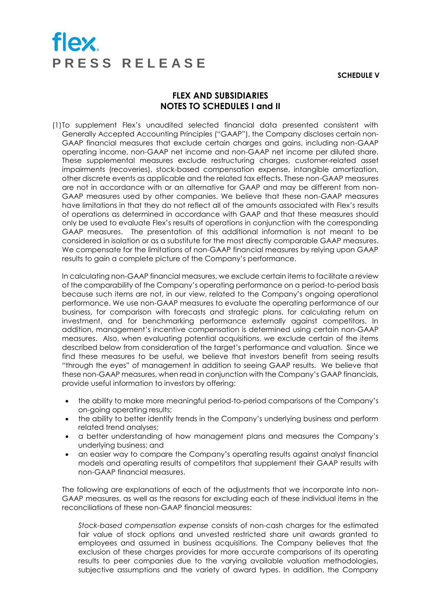**SCHEDULE V**

## **FLEX AND SUBSIDIARIES NOTES TO SCHEDULES I and II**

(1)To supplement Flex's unaudited selected financial data presented consistent with Generally Accepted Accounting Principles ("GAAP"), the Company discloses certain non-GAAP financial measures that exclude certain charges and gains, including non-GAAP operating income, non-GAAP net income and non-GAAP net income per diluted share. These supplemental measures exclude restructuring charges, customer-related asset impairments (recoveries), stock-based compensation expense, intangible amortization, other discrete events as applicable and the related tax effects. These non-GAAP measures are not in accordance with or an alternative for GAAP and may be different from non-GAAP measures used by other companies. We believe that these non-GAAP measures have limitations in that they do not reflect all of the amounts associated with Flex's results of operations as determined in accordance with GAAP and that these measures should only be used to evaluate Flex's results of operations in conjunction with the corresponding GAAP measures. The presentation of this additional information is not meant to be considered in isolation or as a substitute for the most directly comparable GAAP measures. We compensate for the limitations of non-GAAP financial measures by relying upon GAAP results to gain a complete picture of the Company's performance.

In calculating non-GAAP financial measures, we exclude certain items to facilitate a review of the comparability of the Company's operating performance on a period-to-period basis because such items are not, in our view, related to the Company's ongoing operational performance. We use non-GAAP measures to evaluate the operating performance of our business, for comparison with forecasts and strategic plans, for calculating return on investment, and for benchmarking performance externally against competitors. In addition, management's incentive compensation is determined using certain non-GAAP measures. Also, when evaluating potential acquisitions, we exclude certain of the items described below from consideration of the target's performance and valuation. Since we find these measures to be useful, we believe that investors benefit from seeing results "through the eyes" of management in addition to seeing GAAP results. We believe that these non-GAAP measures, when read in conjunction with the Company's GAAP financials, provide useful information to investors by offering:

- the ability to make more meaningful period-to-period comparisons of the Company's on-going operating results;
- the ability to better identify trends in the Company's underlying business and perform related trend analyses;
- a better understanding of how management plans and measures the Company's underlying business; and
- an easier way to compare the Company's operating results against analyst financial models and operating results of competitors that supplement their GAAP results with non-GAAP financial measures.

The following are explanations of each of the adjustments that we incorporate into non-GAAP measures, as well as the reasons for excluding each of these individual items in the reconciliations of these non-GAAP financial measures:

*Stock-based compensation expense* consists of non-cash charges for the estimated fair value of stock options and unvested restricted share unit awards granted to employees and assumed in business acquisitions. The Company believes that the exclusion of these charges provides for more accurate comparisons of its operating results to peer companies due to the varying available valuation methodologies, subjective assumptions and the variety of award types. In addition, the Company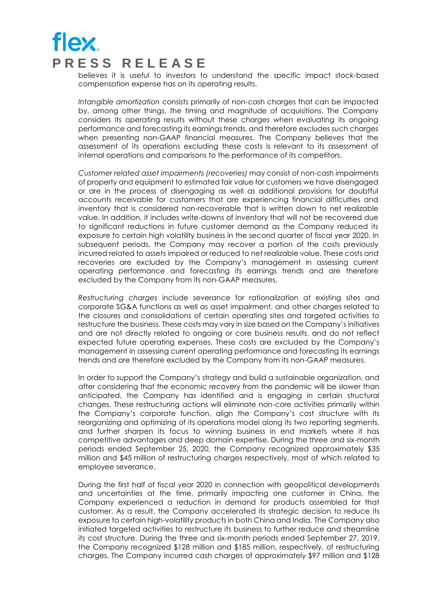believes it is useful to investors to understand the specific impact stock-based compensation expense has on its operating results.

*Intangible amortization* consists primarily of non-cash charges that can be impacted by, among other things, the timing and magnitude of acquisitions. The Company considers its operating results without these charges when evaluating its ongoing performance and forecasting its earnings trends, and therefore excludes such charges when presenting non-GAAP financial measures. The Company believes that the assessment of its operations excluding these costs is relevant to its assessment of internal operations and comparisons to the performance of its competitors.

*Customer related asset impairments (recoveries)* may consist of non-cash impairments of property and equipment to estimated fair value for customers we have disengaged or are in the process of disengaging as well as additional provisions for doubtful accounts receivable for customers that are experiencing financial difficulties and inventory that is considered non-recoverable that is written down to net realizable value. In addition, it includes write-downs of inventory that will not be recovered due to significant reductions in future customer demand as the Company reduced its exposure to certain high volatility business in the second quarter of fiscal year 2020. In subsequent periods, the Company may recover a portion of the costs previously incurred related to assets impaired or reduced to net realizable value. These costs and recoveries are excluded by the Company's management in assessing current operating performance and forecasting its earnings trends and are therefore excluded by the Company from its non-GAAP measures.

*Restructuring charges* include severance for rationalization at existing sites and corporate SG&A functions as well as asset impairment, and other charges related to the closures and consolidations of certain operating sites and targeted activities to restructure the business. These costs may vary in size based on the Company's initiatives and are not directly related to ongoing or core business results, and do not reflect expected future operating expenses. These costs are excluded by the Company's management in assessing current operating performance and forecasting its earnings trends and are therefore excluded by the Company from its non-GAAP measures.

In order to support the Company's strategy and build a sustainable organization, and after considering that the economic recovery from the pandemic will be slower than anticipated, the Company has identified and is engaging in certain structural changes. These restructuring actions will eliminate non-core activities primarily within the Company's corporate function, align the Company's cost structure with its reorganizing and optimizing of its operations model along its two reporting segments, and further sharpen its focus to winning business in end markets where it has competitive advantages and deep domain expertise. During the three and six-month periods ended September 25, 2020, the Company recognized approximately \$35 million and \$45 million of restructuring charges respectively, most of which related to employee severance.

During the first half of fiscal year 2020 in connection with geopolitical developments and uncertainties at the time, primarily impacting one customer in China, the Company experienced a reduction in demand for products assembled for that customer. As a result, the Company accelerated its strategic decision to reduce its exposure to certain high-volatility products in both China and India. The Company also initiated targeted activities to restructure its business to further reduce and streamline its cost structure. During the three and six-month periods ended September 27, 2019, the Company recognized \$128 million and \$185 million, respectively, of restructuring charges. The Company incurred cash charges of approximately \$97 million and \$128